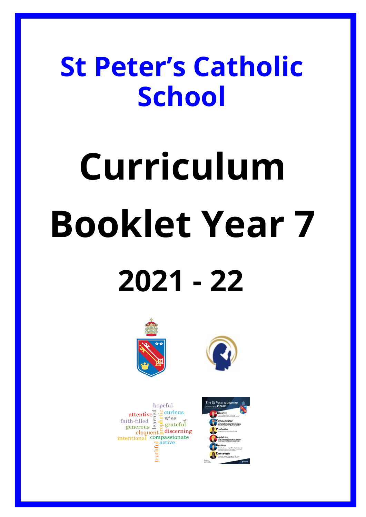## **St Peter's Catholic School**

# **Curriculum Booklet Year 7 2021 - 22**





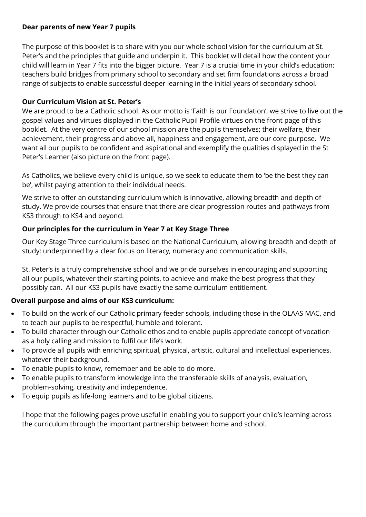#### **Dear parents of new Year 7 pupils**

The purpose of this booklet is to share with you our whole school vision for the curriculum at St. Peter's and the principles that guide and underpin it. This booklet will detail how the content your child will learn in Year 7 fits into the bigger picture. Year 7 is a crucial time in your child's education: teachers build bridges from primary school to secondary and set firm foundations across a broad range of subjects to enable successful deeper learning in the initial years of secondary school.

#### **Our Curriculum Vision at St. Peter's**

We are proud to be a Catholic school. As our motto is 'Faith is our Foundation', we strive to live out the gospel values and virtues displayed in the Catholic Pupil Profile virtues on the front page of this booklet. At the very centre of our school mission are the pupils themselves; their welfare, their achievement, their progress and above all, happiness and engagement, are our core purpose. We want all our pupils to be confident and aspirational and exemplify the qualities displayed in the St Peter's Learner (also picture on the front page).

As Catholics, we believe every child is unique, so we seek to educate them to 'be the best they can be', whilst paying attention to their individual needs.

We strive to offer an outstanding curriculum which is innovative, allowing breadth and depth of study. We provide courses that ensure that there are clear progression routes and pathways from KS3 through to KS4 and beyond.

## **Our principles for the curriculum in Year 7 at Key Stage Three**

Our Key Stage Three curriculum is based on the National Curriculum, allowing breadth and depth of study; underpinned by a clear focus on literacy, numeracy and communication skills.

St. Peter's is a truly comprehensive school and we pride ourselves in encouraging and supporting all our pupils, whatever their starting points, to achieve and make the best progress that they possibly can. All our KS3 pupils have exactly the same curriculum entitlement.

## **Overall purpose and aims of our KS3 curriculum:**

- To build on the work of our Catholic primary feeder schools, including those in the OLAAS MAC, and to teach our pupils to be respectful, humble and tolerant.
- To build character through our Catholic ethos and to enable pupils appreciate concept of vocation as a holy calling and mission to fulfil our life's work.
- To provide all pupils with enriching spiritual, physical, artistic, cultural and intellectual experiences, whatever their background.
- To enable pupils to know, remember and be able to do more.
- To enable pupils to transform knowledge into the transferable skills of analysis, evaluation, problem-solving, creativity and independence.
- To equip pupils as life-long learners and to be global citizens.

I hope that the following pages prove useful in enabling you to support your child's learning across the curriculum through the important partnership between home and school.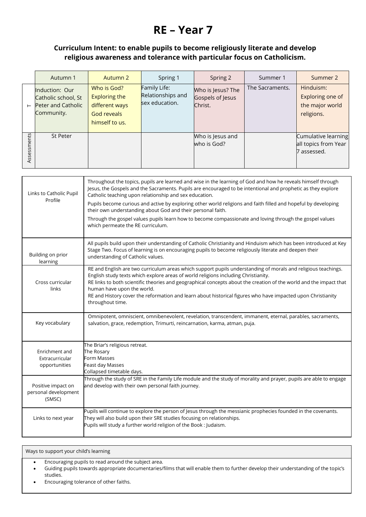## **RE – Year 7**

## **Curriculum Intent: to enable pupils to become religiously literate and develop religious awareness and tolerance with particular focus on Catholicism.**

|                | Autumn 1                                                                                | Autumn 2                                                                                      | Spring 1                                            | Spring 2                                         | Summer 1        | Summer 2                                                       |
|----------------|-----------------------------------------------------------------------------------------|-----------------------------------------------------------------------------------------------|-----------------------------------------------------|--------------------------------------------------|-----------------|----------------------------------------------------------------|
| $\vdash$       | <b>Induction: Our</b><br>Catholic school, St<br><b>Peter and Catholic</b><br>Community. | Who is God?<br><b>Exploring the</b><br>different ways<br><b>God reveals</b><br>himself to us. | Family Life:<br>Relationships and<br>sex education. | Who is Jesus? The<br>Gospels of Jesus<br>Christ. | The Sacraments. | Hinduism:<br>Exploring one of<br>the major world<br>religions. |
| ts<br>Assessme | <b>St Peter</b>                                                                         |                                                                                               |                                                     | Who is Jesus and<br>who is God?                  |                 | Cumulative learning<br>all topics from Year<br>7 assessed.     |

| Links to Catholic Pupil                              | Throughout the topics, pupils are learned and wise in the learning of God and how he reveals himself through<br>Jesus, the Gospels and the Sacraments. Pupils are encouraged to be intentional and prophetic as they explore<br>Catholic teaching upon relationship and sex education.                                                                                                                                                                                                     |
|------------------------------------------------------|--------------------------------------------------------------------------------------------------------------------------------------------------------------------------------------------------------------------------------------------------------------------------------------------------------------------------------------------------------------------------------------------------------------------------------------------------------------------------------------------|
| Profile                                              | Pupils become curious and active by exploring other world religions and faith filled and hopeful by developing<br>their own understanding about God and their personal faith.                                                                                                                                                                                                                                                                                                              |
|                                                      | Through the gospel values pupils learn how to become compassionate and loving through the gospel values<br>which permeate the RE curriculum.                                                                                                                                                                                                                                                                                                                                               |
| Building on prior<br>learning                        | All pupils build upon their understanding of Catholic Christianity and Hinduism which has been introduced at Key<br>Stage Two. Focus of learning is on encouraging pupils to become religiously literate and deepen their<br>understanding of Catholic values.                                                                                                                                                                                                                             |
| Cross curricular<br>links                            | RE and English are two curriculum areas which support pupils understanding of morals and religious teachings.<br>English study texts which explore areas of world religions including Christianity.<br>RE links to both scientific theories and geographical concepts about the creation of the world and the impact that<br>human have upon the world.<br>RE and History cover the reformation and learn about historical figures who have impacted upon Christianity<br>throughout time. |
| Key vocabulary                                       | Omnipotent, omniscient, omnibenevolent, revelation, transcendent, immanent, eternal, parables, sacraments,<br>salvation, grace, redemption, Trimurti, reincarnation, karma, atman, puja.                                                                                                                                                                                                                                                                                                   |
| Enrichment and<br>Extracurricular<br>opportunities   | The Briar's religious retreat.<br>The Rosary<br><b>Form Masses</b><br>Feast day Masses<br>Collapsed timetable days.                                                                                                                                                                                                                                                                                                                                                                        |
| Positive impact on<br>personal development<br>(SMSC) | Through the study of SRE in the Family Life module and the study of morality and prayer, pupils are able to engage<br>and develop with their own personal faith journey.                                                                                                                                                                                                                                                                                                                   |
| Links to next year                                   | Pupils will continue to explore the person of Jesus through the messianic prophecies founded in the covenants.<br>They will also build upon their SRE studies focusing on relationships.<br>Pupils will study a further world religion of the Book : Judaism.                                                                                                                                                                                                                              |

- Encouraging pupils to read around the subject area.
- Guiding pupils towards appropriate documentaries/films that will enable them to further develop their understanding of the topic's studies.
- Encouraging tolerance of other faiths.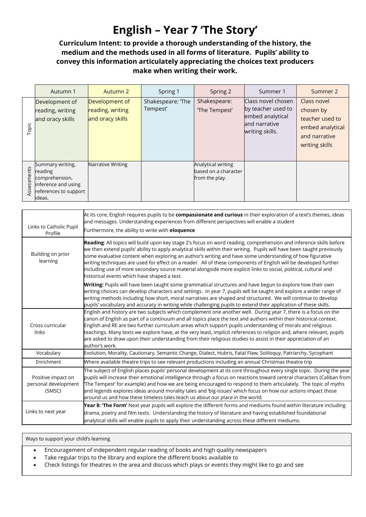## **English – Year 7 'The Story'**

## **Curriculum Intent: to provide a thorough understanding of the history, the medium and the methods used in all forms of literature. Pupils' ability to convey this information articulately appreciating the choices text producers make when writing their work.**

|            | Autumn 1                                                                                                | Autumn 2                                               | Spring 1                      | Spring 2                                                     | Summer 1                                                                                         | Summer 2                                                                                           |
|------------|---------------------------------------------------------------------------------------------------------|--------------------------------------------------------|-------------------------------|--------------------------------------------------------------|--------------------------------------------------------------------------------------------------|----------------------------------------------------------------------------------------------------|
| Topic      | Development of<br>reading, writing<br>and oracy skills                                                  | Development of<br>reading, writing<br>and oracy skills | Shakespeare: 'The<br>Tempest' | Shakespeare:<br>'The Tempest'                                | Class novel chosen<br>by teacher used to<br>embed analytical<br>and narrative<br>writing skills. | Class novel<br>chosen by<br>teacher used to<br>embed analytical<br>and narrative<br>writing skills |
| ssessments | Summary writing,<br>reading<br>comprehension,<br>inference and using<br>references to support<br>ideas. | Narrative Writing                                      |                               | Analytical writing<br>based on a character<br>from the play. |                                                                                                  |                                                                                                    |

| Links to Catholic Pupil<br>Profile                   | At its core, English requires pupils to be compassionate and curious in their exploration of a text's themes, ideas<br>and messages. Understanding experiences from different perspectives will enable a student<br>Furthermore, the ability to write with eloquence                                                                                                                                                                                                                                                                                                                                                                             |
|------------------------------------------------------|--------------------------------------------------------------------------------------------------------------------------------------------------------------------------------------------------------------------------------------------------------------------------------------------------------------------------------------------------------------------------------------------------------------------------------------------------------------------------------------------------------------------------------------------------------------------------------------------------------------------------------------------------|
| Building on prior<br>learning                        | Reading: All topics will build upon key stage 2's focus on word reading, comprehension and inference skills before<br>we then extend pupils' ability to apply analytical skills within their writing. Pupils will have been taught previously<br>some evaluative content when exploring an author's writing and have some understanding of how figurative<br>writing techniques are used for effect on a reader. All of these components of English will be developed further<br>including use of more secondary source material alongside more explicit links to social, political, cultural and<br>historical events which have shaped a text. |
|                                                      | Writing: Pupils will have been taught some grammatical structures and have begun to explore how their own<br>writing choices can develop characters and settings. In year 7, pupils will be taught and explore a wider range of<br>writing methods including how short, moral narratives are shaped and structured. We will continue to develop<br>pupils' vocabulary and accuracy in writing while challenging pupils to extend their application of these skills.                                                                                                                                                                              |
| Cross curricular<br>links                            | English and history are two subjects which complement one another well. During year 7, there is a focus on the<br>canon of English as part of a continuum and all topics place the text and authors within their historical context.<br>English and RE are two further curriculum areas which support pupils understanding of morals and religious<br>teachings. Many texts we explore have, at the very least, implicit references to religion and, where relevant, pupils<br>are asked to draw upon their understanding from their religious studies to assist in their appreciation of an<br>author's work.                                   |
| Vocabulary                                           | Evolution, Morality, Cautionary, Semantic Change, Dialect, Hubris, Fatal Flaw, Soliloquy, Patriarchy, Sycophant                                                                                                                                                                                                                                                                                                                                                                                                                                                                                                                                  |
| Enrichment                                           | Where available theatre trips to see relevant productions including an annual Christmas theatre trip                                                                                                                                                                                                                                                                                                                                                                                                                                                                                                                                             |
| Positive impact on<br>personal development<br>(SMSC) | The subject of English places pupils' personal development at its core throughout every single topic. During the year<br>pupils will increase their emotional intelligence through a focus on reactions toward central characters (Caliban from<br>The Tempest' for example) and how we are being encouraged to respond to them articulately. The topic of myths<br>and legends explores ideas around morality tales and 'big-issues' which focus on how our actions impact those<br>around us and how these timeless tales teach us about our place in the world.                                                                               |
| Links to next year                                   | Year 8: 'The Form' Next year pupils will explore the different forms and mediums found within literature including<br>drama, poetry and film texts. Understanding the history of literature and having established foundational<br>analytical skills will enable pupils to apply their understanding across these different mediums.                                                                                                                                                                                                                                                                                                             |

- Encouragement of independent regular reading of books and high quality newspapers
- Take regular trips to the library and explore the different books available to
- Check listings for theatres in the area and discuss which plays or events they might like to go and see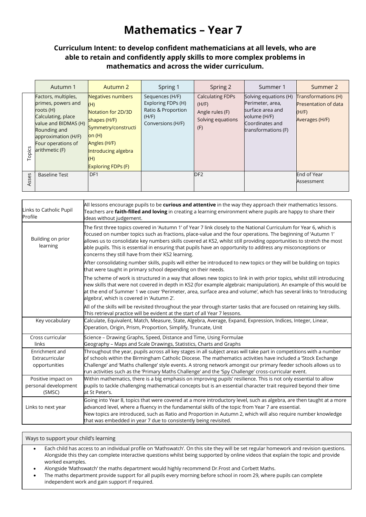## **Mathematics – Year 7**

#### **Curriculum Intent: to develop confident mathematicians at all levels, who are able to retain and confidently apply skills to more complex problems in mathematics and across the wider curriculum.**

|        | Autumn 1                                                                                                                                                                            | Autumn 2                                                                                                                                                                     | Spring 1                                                                                  | Spring 2                                                                        | Summer 1                                                                                                                | Summer 2                                                                      |
|--------|-------------------------------------------------------------------------------------------------------------------------------------------------------------------------------------|------------------------------------------------------------------------------------------------------------------------------------------------------------------------------|-------------------------------------------------------------------------------------------|---------------------------------------------------------------------------------|-------------------------------------------------------------------------------------------------------------------------|-------------------------------------------------------------------------------|
| Topics | Factors, multiples,<br>primes, powers and<br>roots (H)<br>Calculating, place<br>value and BIDMAS (H)<br>Rounding and<br>approximation (H/F)<br>Four operations of<br>arithmetic (F) | Negatives numbers<br>(H)<br>Notation for 2D/3D<br>shapes (H/F)<br>Symmetry/constructi<br>on $(H)$<br>Angles (H/F)<br>Introducing algebra<br>(H)<br><b>Exploring FDPs (F)</b> | Sequences (H/F)<br>Exploring FDPs (H)<br>Ratio & Proportion<br>(H/F)<br>Conversions (H/F) | <b>Calculating FDPs</b><br>(H/F)<br>Angle rules (F)<br>Solving equations<br>(F) | Solving equations (H)<br>Perimeter, area,<br>surface area and<br>volume (H/F)<br>Coordinates and<br>transformations (F) | Transformations (H)<br><b>Presentation of data</b><br>(H/F)<br>Averages (H/F) |
| Asses  | <b>Baseline Test</b>                                                                                                                                                                | DF <sub>1</sub>                                                                                                                                                              |                                                                                           | DF <sub>2</sub>                                                                 |                                                                                                                         | End of Year<br>Assessment                                                     |

| Links to Catholic Pupil<br>Profile                   | All lessons encourage pupils to be curious and attentive in the way they approach their mathematics lessons.<br>Teachers are faith-filled and loving in creating a learning environment where pupils are happy to share their<br>ideas without judgement.                                                                                                                                                                                                                                                                       |
|------------------------------------------------------|---------------------------------------------------------------------------------------------------------------------------------------------------------------------------------------------------------------------------------------------------------------------------------------------------------------------------------------------------------------------------------------------------------------------------------------------------------------------------------------------------------------------------------|
| Building on prior<br>learning                        | The first three topics covered in 'Autumn 1' of Year 7 link closely to the National Curriculum for Year 6, which is<br>focused on number topics such as fractions, place-value and the four operations. The beginning of 'Autumn 1'<br>allows us to consolidate key numbers skills covered at KS2, whilst still providing opportunities to stretch the most<br>able pupils. This is essential in ensuring that pupils have an opportunity to address any misconceptions or<br>concerns they still have from their KS2 learning. |
|                                                      | After consolidating number skills, pupils will either be introduced to new topics or they will be building on topics<br>that were taught in primary school depending on their needs.                                                                                                                                                                                                                                                                                                                                            |
|                                                      | The scheme of work is structured in a way that allows new topics to link in with prior topics, whilst still introducing<br>new skills that were not covered in depth in KS2 (for example algebraic manipulation). An example of this would be<br>at the end of Summer 1 we cover 'Perimeter, area, surface area and volume', which has several links to 'Introducing<br>algebra', which is covered in 'Autumn 2'.                                                                                                               |
|                                                      | All of the skills will be revisited throughout the year through starter tasks that are focused on retaining key skills.<br>This retrieval practice will be evident at the start of all Year 7 lessons.                                                                                                                                                                                                                                                                                                                          |
| Key vocabulary                                       | Calculate, Equivalent, Match, Measure, State, Algebra, Average, Expand, Expression, Indices, Integer, Linear,<br>Operation, Origin, Prism, Proportion, Simplify, Truncate, Unit                                                                                                                                                                                                                                                                                                                                                 |
| Cross curricular<br>links                            | Science - Drawing Graphs, Speed, Distance and Time, Using Formulae<br>Geography - Maps and Scale Drawings, Statistics, Charts and Graphs                                                                                                                                                                                                                                                                                                                                                                                        |
| Enrichment and<br>Extracurricular<br>opportunities   | Throughout the year, pupils across all key stages in all subject areas will take part in competitions with a number<br>of schools within the Birmingham Catholic Diocese. The mathematics activities have included a 'Stock Exchange<br>Challenge' and 'Maths challenge' style events. A strong network amongst our primary feeder schools allows us to<br>run activities such as the 'Primary Maths Challenge' and the 'Spy Challenge' cross-curricular event.                                                                 |
| Positive impact on<br>personal development<br>(SMSC) | Within mathematics, there is a big emphasis on improving pupils' resilience. This is not only essential to allow<br>pupils to tackle challenging mathematical concepts but is an essential character trait required beyond their time<br>at St Peter's.                                                                                                                                                                                                                                                                         |
| Links to next year                                   | Going into Year 8, topics that were covered at a more introductory level, such as algebra, are then taught at a more<br>advanced level, where a fluency in the fundamental skills of the topic from Year 7 are essential.<br>New topics are introduced, such as Ratio and Proportion in Autumn 2, which will also require number knowledge<br>that was embedded in year 7 due to consistently being revisited.                                                                                                                  |

- Each child has access to an individual profile on 'Mathswatch'. On this site they will be set regular homework and revision questions. Alongside this they can complete interactive questions whilst being supported by online videos that explain the topic and provide worked examples.
- Alongside 'Mathswatch' the maths department would highly recommend Dr.Frost and Corbett Maths.
- The maths department provide support for all pupils every morning before school in room 29, where pupils can complete independent work and gain support if required.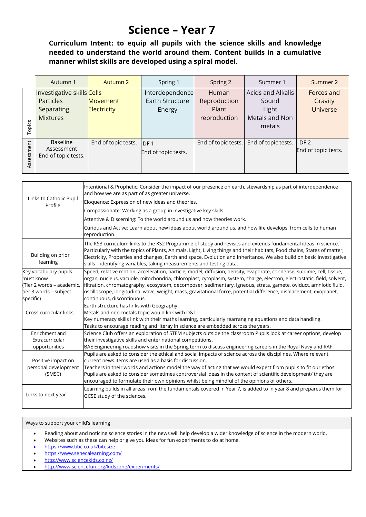## **Science – Year 7**

**Curriculum Intent: to equip all pupils with the science skills and knowledge needed to understand the world around them. Content builds in a cumulative manner whilst skills are developed using a spiral model.**

|            | Autumn 1                                                                 | Autumn 2                              | Spring 1                                     | Spring 2                                       | Summer 1                                                        | Summer 2                                 |
|------------|--------------------------------------------------------------------------|---------------------------------------|----------------------------------------------|------------------------------------------------|-----------------------------------------------------------------|------------------------------------------|
| Topics     | Investigative skills Cells<br>Particles<br>Separating<br><b>Mixtures</b> | <b>Movement</b><br><b>Electricity</b> | Interdependence<br>Earth Structure<br>Energy | Human<br>Reproduction<br>Plant<br>reproduction | Acids and Alkalis<br>Sound<br>Light<br>Metals and Non<br>metals | Forces and<br>Gravity<br><b>Universe</b> |
| Assessment | Baseline<br>Assessment<br>End of topic tests.                            | End of topic tests.                   | DF <sub>1</sub><br>End of topic tests.       | End of topic tests.                            | End of topic tests.                                             | DF <sub>2</sub><br>End of topic tests.   |

| Links to Catholic Pupil<br>Profile                                                                     | Intentional & Prophetic: Consider the impact of our presence on earth, stewardship as part of interdependence<br>and how we are as part of as greater universe.<br>Eloquence: Expression of new ideas and theories.<br>Compassionate: Working as a group in investigative key skills.<br>Attentive & Discerning: To the world around us and how theories work.<br>Curious and Active: Learn about new ideas about world around us, and how life develops, from cells to human<br>reproduction.                             |
|--------------------------------------------------------------------------------------------------------|----------------------------------------------------------------------------------------------------------------------------------------------------------------------------------------------------------------------------------------------------------------------------------------------------------------------------------------------------------------------------------------------------------------------------------------------------------------------------------------------------------------------------|
| Building on prior<br>learning                                                                          | The KS3 curriculum links to the KS2 Programme of study and revisits and extends fundamental ideas in science.<br>Particularly with the topics of Plants, Animals, Light, Living things and their habitats, Food chains, States of matter,<br>Electricity, Properties and changes, Earth and space, Evolution and Inheritance. We also build on basic investigative<br>skills - identifying variables, taking measurements and testing data.                                                                                |
| Key vocabulary pupils<br>must know<br>(Tier 2 words – academic,<br>tier 3 words - subject<br>specific) | Speed, relative motion, acceleration, particle, model, diffusion, density, evaporate, condense, sublime, cell, tissue,<br>organ, nucleus, vacuole, mitochondria, chloroplast, cytoplasm, system, charge, electron, electrostatic, field, solvent,<br>filtration, chromatography, ecosystem, decomposer, sedimentary, igneous, strata, gamete, oviduct, amniotic fluid,<br>oscilloscope, longitudinal wave, weight, mass, gravitational force, potential difference, displacement, exoplanet,<br>continuous, discontinuous. |
| Cross curricular links                                                                                 | Earth structure has links with Geography.<br>Metals and non-metals topic would link with D&T.<br>Key numeracy skills link with their maths learning, particularly rearranging equations and data handling.<br>Tasks to encourage reading and literay in science are embedded across the years.                                                                                                                                                                                                                             |
| Enrichment and<br>Extracurricular<br>opportunities                                                     | Science Club offers an exploration of STEM subjects outside the classroom Pupils look at career options, develop<br>their investigative skills and enter national competitions.<br>BAE Engineering roadshow visits in the Spring term to discuss engineering careers in the Royal Navy and RAF.                                                                                                                                                                                                                            |
| Positive impact on<br>personal development<br>(SMSC)                                                   | Pupils are asked to consider the ethical and social impacts of science across the disciplines. Where relevant<br>current news items are used as a basis for discussion.<br>Teachers in their words and actions model the way of acting that we would expect from pupils to fit our ethos.<br>Pupils are asked to consider sometimes controversial ideas in the context of scientific development/ they are<br>encouraged to formulate their own opinions whilst being mindful of the opinions of others.                   |
| Links to next year                                                                                     | Learning builds in all areas from the fundamentals covered in Year 7, is added to in year 8 and prepares them for<br>GCSE study of the sciences.                                                                                                                                                                                                                                                                                                                                                                           |

#### Ways to support your child's learning

• Reading about and noticing science stories in the news will help develop a wider knowledge of science in the modern world.

• Websites such as these can help or give you ideas for fun experiments to do at home.

• <https://www.bbc.co.uk/bitesize>

- <https://www.senecalearning.com/>
- <http://www.sciencekids.co.nz/>
- <http://www.sciencefun.org/kidszone/experiments/>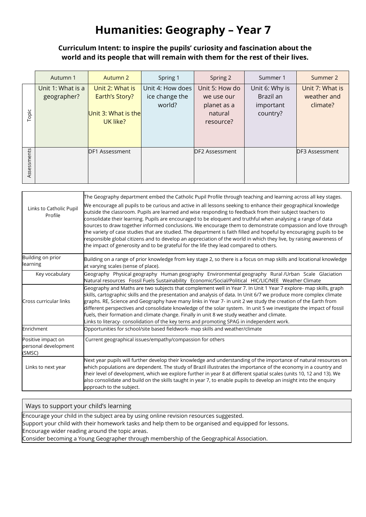## **Humanities: Geography – Year 7**

## **Curriculum Intent: to inspire the pupils' curiosity and fascination about the world and its people that will remain with them for the rest of their lives.**

|             | Autumn 1                         | Autumn 2                                                             | Spring 1                                     | Spring 2                                                            | Summer 1                                             | Summer 2                                   |
|-------------|----------------------------------|----------------------------------------------------------------------|----------------------------------------------|---------------------------------------------------------------------|------------------------------------------------------|--------------------------------------------|
| Topic       | Unit 1: What is a<br>geographer? | Unit 2: What is<br>Earth's Story?<br>Unit 3: What is the<br>UK like? | Unit 4: How does<br>ice change the<br>world? | Unit 5: How do<br>we use our<br>planet as a<br>natural<br>resource? | Unit 6: Why is<br>Brazil an<br>important<br>country? | Unit 7: What is<br>weather and<br>climate? |
| Assessments |                                  | DF1 Assessment                                                       |                                              | DF2 Assessment                                                      |                                                      | DF3 Assessment                             |

| Links to Catholic Pupil<br>Profile                   | The Geography department embed the Catholic Pupil Profile through teaching and learning across all key stages.<br>We encourage all pupils to be curious and active in all lessons seeking to enhance their geographical knowledge<br>outside the classroom. Pupils are learned and wise responding to feedback from their subject teachers to<br>consolidate their learning. Pupils are encouraged to be eloquent and truthful when analysing a range of data<br>sources to draw together informed conclusions. We encourage them to demonstrate compassion and love through<br>the variety of case studies that are studied. The department is faith filled and hopeful by encouraging pupils to be<br>responsible global citizens and to develop an appreciation of the world in which they live, by raising awareness of<br>the impact of generosity and to be grateful for the life they lead compared to others. |
|------------------------------------------------------|-----------------------------------------------------------------------------------------------------------------------------------------------------------------------------------------------------------------------------------------------------------------------------------------------------------------------------------------------------------------------------------------------------------------------------------------------------------------------------------------------------------------------------------------------------------------------------------------------------------------------------------------------------------------------------------------------------------------------------------------------------------------------------------------------------------------------------------------------------------------------------------------------------------------------|
| Building on prior<br>learning                        | Building on a range of prior knowledge from key stage 2, so there is a focus on map skills and locational knowledge<br>at varying scales (sense of place).                                                                                                                                                                                                                                                                                                                                                                                                                                                                                                                                                                                                                                                                                                                                                            |
| Key vocabulary                                       | Geography Physical geography Human geography Environmental geography Rural /Urban Scale Glaciation<br>Natural resources Fossil Fuels Sustainability Economic/Social/Political HIC/LIC/NEE Weather Climate                                                                                                                                                                                                                                                                                                                                                                                                                                                                                                                                                                                                                                                                                                             |
| Cross curricular links                               | Geography and Maths are two subjects that complement well in Year 7. In Unit 1 Year 7 explore- map skills, graph<br>skills, cartographic skills and the presentation and analysis of data. In Unit 6/7 we produce more complex climate<br>graphs. RE, Science and Geography have many links in Year 7- in unit 2 we study the creation of the Earth from<br>different perspectives and consolidate knowledge of the solar system. In unit 5 we investigate the impact of fossil<br>fuels, their formation and climate change. Finally in unit 8 we study weather and climate.<br>Links to literacy- consolidation of the key terns and promoting SPAG in independent work.                                                                                                                                                                                                                                            |
| Enrichment                                           | Opportunities for school/site based fieldwork- map skills and weather/climate                                                                                                                                                                                                                                                                                                                                                                                                                                                                                                                                                                                                                                                                                                                                                                                                                                         |
| Positive impact on<br>personal development<br>(SMSC) | Current geographical issues/empathy/compassion for others                                                                                                                                                                                                                                                                                                                                                                                                                                                                                                                                                                                                                                                                                                                                                                                                                                                             |
| Links to next year                                   | Next year pupils will further develop their knowledge and understanding of the importance of natural resources on<br>which populations are dependent. The study of Brazil illustrates the importance of the economy in a country and<br>their level of development, which we explore further in year 8 at different spatial scales (units 10, 12 and 13). We<br>also consolidate and build on the skills taught in year 7, to enable pupils to develop an insight into the enquiry<br>approach to the subject.                                                                                                                                                                                                                                                                                                                                                                                                        |

#### Ways to support your child's learning

Encourage your child in the subject area by using online revision resources suggested.

Support your child with their homework tasks and help them to be organised and equipped for lessons.

Encourage wider reading around the topic areas.

Consider becoming a Young Geographer through membership of the Geographical Association.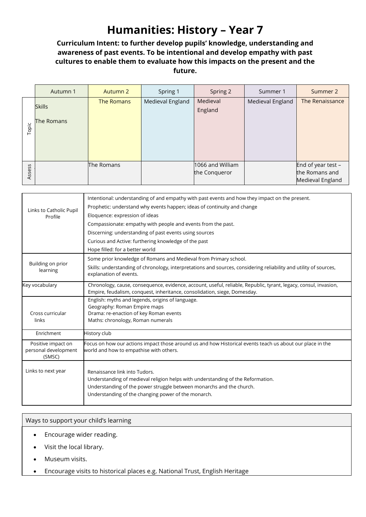## **Humanities: History – Year 7**

## **Curriculum Intent: to further develop pupils' knowledge, understanding and awareness of past events. To be intentional and develop empathy with past cultures to enable them to evaluate how this impacts on the present and the future.**

|        | Autumn 1                    | Autumn 2   | Spring 1         | Spring 2                          | Summer 1         | Summer 2                                                   |
|--------|-----------------------------|------------|------------------|-----------------------------------|------------------|------------------------------------------------------------|
| Topic  | <b>Skills</b><br>The Romans | The Romans | Medieval England | Medieval<br>England               | Medieval England | The Renaissance                                            |
| Assess |                             | The Romans |                  | 1066 and William<br>the Conqueror |                  | End of year test $-$<br>the Romans and<br>Medieval England |

|                                                      | Intentional: understanding of and empathy with past events and how they impact on the present.                                                                                                                                                  |
|------------------------------------------------------|-------------------------------------------------------------------------------------------------------------------------------------------------------------------------------------------------------------------------------------------------|
| Links to Catholic Pupil                              | Prophetic: understand why events happen; ideas of continuity and change                                                                                                                                                                         |
| Profile                                              | Eloquence: expression of ideas                                                                                                                                                                                                                  |
|                                                      | Compassionate: empathy with people and events from the past.                                                                                                                                                                                    |
|                                                      | Discerning: understanding of past events using sources                                                                                                                                                                                          |
|                                                      | Curious and Active: furthering knowledge of the past                                                                                                                                                                                            |
|                                                      | Hope filled: for a better world                                                                                                                                                                                                                 |
|                                                      | Some prior knowledge of Romans and Medieval from Primary school.                                                                                                                                                                                |
| Building on prior<br>learning                        | Skills: understanding of chronology, interpretations and sources, considering reliability and utility of sources,<br>explanation of events.                                                                                                     |
| Key vocabulary                                       | Chronology, cause, consequence, evidence, account, useful, reliable, Republic, tyrant, legacy, consul, invasion,<br>Empire, feudalism, conquest, inheritance, consolidation, siege, Domesday.                                                   |
|                                                      | English: myths and legends, origins of language.                                                                                                                                                                                                |
| Cross curricular                                     | Geography: Roman Empire maps<br>Drama: re-enaction of key Roman events                                                                                                                                                                          |
| links                                                | Maths: chronology, Roman numerals                                                                                                                                                                                                               |
| Enrichment                                           | History club                                                                                                                                                                                                                                    |
| Positive impact on<br>personal development<br>(SMSC) | Focus on how our actions impact those around us and how Historical events teach us about our place in the<br>world and how to empathise with others.                                                                                            |
| Links to next year                                   | Renaissance link into Tudors.<br>Understanding of medieval religion helps with understanding of the Reformation.<br>Understanding of the power struggle between monarchs and the church.<br>Understanding of the changing power of the monarch. |

- Encourage wider reading.
- Visit the local library.
- Museum visits.
- Encourage visits to historical places e.g. National Trust, English Heritage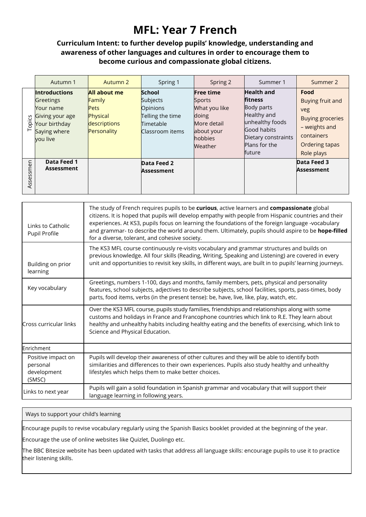## **MFL: Year 7 French**

#### **Curriculum Intent: to further develop pupils' knowledge, understanding and awareness of other languages and cultures in order to encourage them to become curious and compassionate global citizens.**

|           | Autumn 1                                                                                                       | Autumn 2                                                                                | Spring 1                                                                           | Spring 2                                                                                                | Summer 1                                                                                                                                             | Summer 2                                                                                                                  |
|-----------|----------------------------------------------------------------------------------------------------------------|-----------------------------------------------------------------------------------------|------------------------------------------------------------------------------------|---------------------------------------------------------------------------------------------------------|------------------------------------------------------------------------------------------------------------------------------------------------------|---------------------------------------------------------------------------------------------------------------------------|
| Topics    | <b>Introductions</b><br>Greetings<br>Your name<br>Giving your age<br>Your birthday<br>Saying where<br>you live | All about me<br><b>Family</b><br><b>Pets</b><br>Physical<br>descriptions<br>Personality | School<br>Subjects<br>Opinions<br>Telling the time<br>Timetable<br>Classroom items | <b>Free time</b><br>Sports<br>What you like<br>doing<br>More detail<br>about your<br>hobbies<br>Weather | <b>Health and</b><br><b>fitness</b><br>Body parts<br>Healthy and<br>unhealthy foods<br>Good habits<br>Dietary constraints<br>Plans for the<br>future | Food<br>Buying fruit and<br>veg<br><b>Buying groceries</b><br>- weights and<br>containers<br>Ordering tapas<br>Role plays |
| Assessmen | Data Feed 1<br><b>Assessment</b>                                                                               |                                                                                         | Data Feed 2<br>Assessment                                                          |                                                                                                         |                                                                                                                                                      | Data Feed 3<br><b>Assessment</b>                                                                                          |

| Links to Catholic<br>Pupil Profile                      | The study of French requires pupils to be curious, active learners and compassionate global<br>citizens. It is hoped that pupils will develop empathy with people from Hispanic countries and their<br>experiences. At KS3, pupils focus on learning the foundations of the foreign language -vocabulary<br>and grammar- to describe the world around them. Ultimately, pupils should aspire to be hope-filled<br>for a diverse, tolerant, and cohesive society. |
|---------------------------------------------------------|------------------------------------------------------------------------------------------------------------------------------------------------------------------------------------------------------------------------------------------------------------------------------------------------------------------------------------------------------------------------------------------------------------------------------------------------------------------|
| Building on prior<br>learning                           | The KS3 MFL course continuously re-visits vocabulary and grammar structures and builds on<br>previous knowledge. All four skills (Reading, Writing, Speaking and Listening) are covered in every<br>unit and opportunities to revisit key skills, in different ways, are built in to pupils' learning journeys.                                                                                                                                                  |
| Key vocabulary                                          | Greetings, numbers 1-100, days and months, family members, pets, physical and personality<br>features, school subjects, adjectives to describe subjects, school facilities, sports, pass-times, body<br>parts, food items, verbs (in the present tense): be, have, live, like, play, watch, etc.                                                                                                                                                                 |
| Cross curricular links                                  | Over the KS3 MFL course, pupils study families, friendships and relationships along with some<br>customs and holidays in France and Francophone countries which link to R.E. They learn about<br>healthy and unhealthy habits including healthy eating and the benefits of exercising, which link to<br>Science and Physical Education.                                                                                                                          |
| Enrichment                                              |                                                                                                                                                                                                                                                                                                                                                                                                                                                                  |
| Positive impact on<br>personal<br>development<br>(SMSC) | Pupils will develop their awareness of other cultures and they will be able to identify both<br>similarities and differences to their own experiences. Pupils also study healthy and unhealthy<br>lifestyles which helps them to make better choices.                                                                                                                                                                                                            |
| Links to next year                                      | Pupils will gain a solid foundation in Spanish grammar and vocabulary that will support their<br>language learning in following years.                                                                                                                                                                                                                                                                                                                           |

Ways to support your child's learning

Encourage pupils to revise vocabulary regularly using the Spanish Basics booklet provided at the beginning of the year.

Encourage the use of online websites like Quizlet, Duolingo etc.

The BBC Bitesize website has been updated with tasks that address all language skills: encourage pupils to use it to practice their listening skills.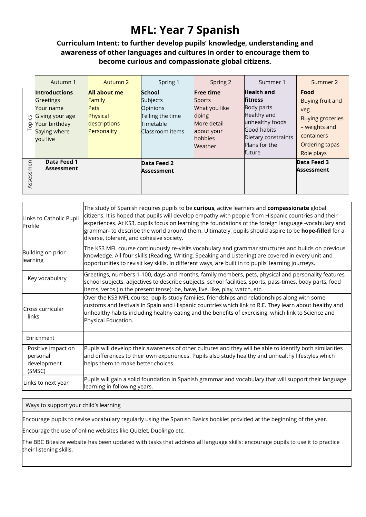## **MFL: Year 7 Spanish**

#### **Curriculum Intent: to further develop pupils' knowledge, understanding and awareness of other languages and cultures in order to encourage them to become curious and compassionate global citizens.**

|           | Autumn 1                                                                                                       | Autumn 2                                                                                | Spring 1                                                                           | Spring 2                                                                                                | Summer 1                                                                                                                                             | Summer 2                                                                                                                  |
|-----------|----------------------------------------------------------------------------------------------------------------|-----------------------------------------------------------------------------------------|------------------------------------------------------------------------------------|---------------------------------------------------------------------------------------------------------|------------------------------------------------------------------------------------------------------------------------------------------------------|---------------------------------------------------------------------------------------------------------------------------|
| Topics    | <b>Introductions</b><br>Greetings<br>Your name<br>Giving your age<br>Your birthday<br>Saying where<br>you live | All about me<br><b>Family</b><br><b>Pets</b><br>Physical<br>descriptions<br>Personality | School<br>Subjects<br>Opinions<br>Telling the time<br>Timetable<br>Classroom items | <b>Free time</b><br>Sports<br>What you like<br>doing<br>More detail<br>about your<br>hobbies<br>Weather | <b>Health and</b><br><b>fitness</b><br>Body parts<br>Healthy and<br>unhealthy foods<br>Good habits<br>Dietary constraints<br>Plans for the<br>future | Food<br>Buying fruit and<br>veg<br><b>Buying groceries</b><br>- weights and<br>containers<br>Ordering tapas<br>Role plays |
| Assessmen | Data Feed 1<br><b>Assessment</b>                                                                               |                                                                                         | Data Feed 2<br>Assessment                                                          |                                                                                                         |                                                                                                                                                      | Data Feed 3<br><b>Assessment</b>                                                                                          |

| Links to Catholic Pupil<br>Profile                      | The study of Spanish requires pupils to be curious, active learners and compassionate global<br>citizens. It is hoped that pupils will develop empathy with people from Hispanic countries and their<br>experiences. At KS3, pupils focus on learning the foundations of the foreign language -vocabulary and<br>grammar- to describe the world around them. Ultimately, pupils should aspire to be <b>hope-filled</b> for a<br>diverse, tolerant, and cohesive society. |
|---------------------------------------------------------|--------------------------------------------------------------------------------------------------------------------------------------------------------------------------------------------------------------------------------------------------------------------------------------------------------------------------------------------------------------------------------------------------------------------------------------------------------------------------|
| Building on prior<br>learning                           | The KS3 MFL course continuously re-visits vocabulary and grammar structures and builds on previous<br>knowledge. All four skills (Reading, Writing, Speaking and Listening) are covered in every unit and<br>opportunities to revisit key skills, in different ways, are built in to pupils' learning journeys.                                                                                                                                                          |
| Key vocabulary                                          | Greetings, numbers 1-100, days and months, family members, pets, physical and personality features,<br>school subjects, adjectives to describe subjects, school facilities, sports, pass-times, body parts, food<br>items, verbs (in the present tense): be, have, live, like, play, watch, etc.                                                                                                                                                                         |
| Cross curricular<br>links                               | Over the KS3 MFL course, pupils study families, friendships and relationships along with some<br>customs and festivals in Spain and Hispanic countries which link to R.E. They learn about healthy and<br>unhealthy habits including healthy eating and the benefits of exercising, which link to Science and<br>Physical Education.                                                                                                                                     |
| Enrichment                                              |                                                                                                                                                                                                                                                                                                                                                                                                                                                                          |
| Positive impact on<br>personal<br>development<br>(SMSC) | Pupils will develop their awareness of other cultures and they will be able to identify both similarities<br>and differences to their own experiences. Pupils also study healthy and unhealthy lifestyles which<br>helps them to make better choices.                                                                                                                                                                                                                    |
| Links to next year                                      | Pupils will gain a solid foundation in Spanish grammar and vocabulary that will support their language<br>learning in following years.                                                                                                                                                                                                                                                                                                                                   |

#### Ways to support your child's learning

Encourage pupils to revise vocabulary regularly using the Spanish Basics booklet provided at the beginning of the year.

Encourage the use of online websites like Quizlet, Duolingo etc.

The BBC Bitesize website has been updated with tasks that address all language skills: encourage pupils to use it to practice their listening skills.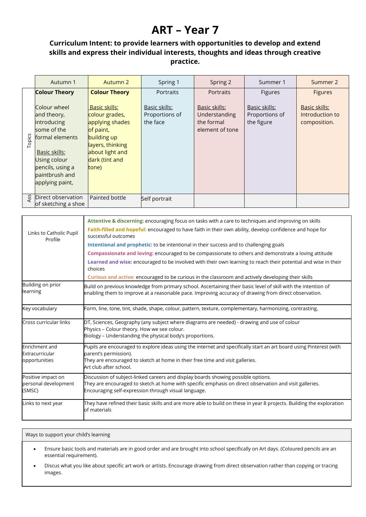## **ART – Year 7**

## **Curriculum Intent: to provide learners with opportunities to develop and extend skills and express their individual interests, thoughts and ideas through creative practice.**

|        | Autumn 1                                                                                                                                                               | Autumn 2                                                                                                                                                | Spring 1                                    | Spring 2                                                        | Summer 1                                      | Summer 2                                         |
|--------|------------------------------------------------------------------------------------------------------------------------------------------------------------------------|---------------------------------------------------------------------------------------------------------------------------------------------------------|---------------------------------------------|-----------------------------------------------------------------|-----------------------------------------------|--------------------------------------------------|
|        | <b>Colour Theory</b>                                                                                                                                                   | <b>Colour Theory</b>                                                                                                                                    | Portraits                                   | <b>Portraits</b>                                                | Figures                                       | <b>Figures</b>                                   |
| Topics | Colour wheel<br>and theory,<br>introducing<br>some of the<br>formal elements<br>Basic skills:<br>Using colour<br>pencils, using a<br>paintbrush and<br>applying paint, | <b>Basic skills:</b><br>colour grades,<br>applying shades<br>of paint,<br>building up<br>layers, thinking<br>about light and<br>dark (tint and<br>tone) | Basic skills:<br>Proportions of<br>the face | Basic skills:<br>Understanding<br>the formal<br>element of tone | Basic skills:<br>Proportions of<br>the figure | Basic skills:<br>Introduction to<br>composition. |
| ASS    | Direct observation<br>of sketching a shoe                                                                                                                              | Painted bottle                                                                                                                                          | Self portrait                               |                                                                 |                                               |                                                  |

|                                                      | Attentive & discerning: encouraging focus on tasks with a care to techniques and improving on skills                                                                                                                                                    |
|------------------------------------------------------|---------------------------------------------------------------------------------------------------------------------------------------------------------------------------------------------------------------------------------------------------------|
| Links to Catholic Pupil<br>Profile                   | Faith-filled and hopeful: encouraged to have faith in their own ability, develop confidence and hope for<br>successful outcomes                                                                                                                         |
|                                                      | Intentional and prophetic: to be intentional in their success and to challenging goals                                                                                                                                                                  |
|                                                      | Compassionate and loving: encouraged to be compassionate to others and demonstrate a loving attitude                                                                                                                                                    |
|                                                      | Learned and wise: encouraged to be involved with their own learning to reach their potential and wise in their<br>choices                                                                                                                               |
|                                                      | Curious and active: encouraged to be curious in the classroom and actively developing their skills                                                                                                                                                      |
| Building on prior<br>learning                        | Build on previous knowledge from primary school. Ascertaining their basic level of skill with the intention of<br>enabling them to improve at a reasonable pace. Improving accuracy of drawing from direct observation.                                 |
| Key vocabulary                                       | Form, line, tone, tint, shade, shape, colour, pattern, texture, complementary, harmonizing, contrasting,                                                                                                                                                |
| Cross curricular links                               | DT, Sciences, Geography (any subject where diagrams are needed) - drawing and use of colour<br>Physics - Colour theory. How we see colour.<br>Biology - Understanding the physical body's proportions.                                                  |
| Enrichment and<br>Extracurricular<br>opportunities   | Pupils are encouraged to explore ideas using the internet and specifically start an art board using Pinterest (with<br>parent's permission).<br>They are encouraged to sketch at home in their free time and visit galleries.<br>Art club after school. |
| Positive impact on<br>personal development<br>(SMSC) | Discussion of subject-linked careers and display boards showing possible options.<br>They are encouraged to sketch at home with specific emphasis on direct observation and visit galleries.<br>Encouraging self-expression through visual language.    |
| Links to next year                                   | They have refined their basic skills and are more able to build on these in year 8 projects. Building the exploration<br>of materials                                                                                                                   |

- Ensure basic tools and materials are in good order and are brought into school specifically on Art days. (Coloured pencils are an essential requirement).
- Discus what you like about specific art work or artists. Encourage drawing from direct observation rather than copying or tracing images.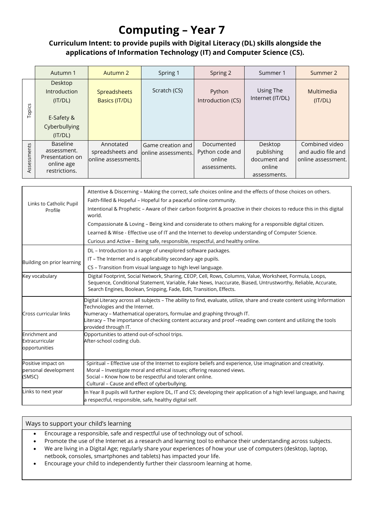## **Computing – Year 7**

## **Curriculum Intent: to provide pupils with Digital Literacy (DL) skills alongside the applications of Information Technology (IT) and Computer Science (CS).**

|             | Autumn 1                                                                            | Autumn 2                                              | Spring 1                                  | Spring 2                                                | Summer 1                                                        | Summer 2                                                   |
|-------------|-------------------------------------------------------------------------------------|-------------------------------------------------------|-------------------------------------------|---------------------------------------------------------|-----------------------------------------------------------------|------------------------------------------------------------|
| Topics      | <b>Desktop</b><br>Introduction<br>(IT/DL)<br>E-Safety &<br>Cyberbullying<br>(IT/DL) | <b>Spreadsheets</b><br>Basics (IT/DL)                 | Scratch (CS)                              | Python<br>Introduction (CS)                             | Using The<br>Internet (IT/DL)                                   | Multimedia<br>(IT/DL)                                      |
| Assessments | <b>Baseline</b><br>assessment.<br>Presentation on<br>online age<br>restrictions.    | Annotated<br>spreadsheets and<br>lonline assessments. | Game creation and<br>lonline assessments. | Documented<br>Python code and<br>online<br>assessments. | Desktop<br>publishing<br>document and<br>online<br>assessments. | Combined video<br>and audio file and<br>online assessment. |

| Links to Catholic Pupil<br>Profile                   | Attentive & Discerning - Making the correct, safe choices online and the effects of those choices on others.<br>Faith-filled & Hopeful - Hopeful for a peaceful online community.<br>Intentional & Prophetic - Aware of their carbon footprint & proactive in their choices to reduce this in this digital<br>world.<br>Compassionate & Loving - Being kind and considerate to others making for a responsible digital citizen.<br>Learned & Wise - Effective use of IT and the Internet to develop understanding of Computer Science.<br>Curious and Active - Being safe, responsible, respectful, and healthy online. |  |  |  |  |  |
|------------------------------------------------------|-------------------------------------------------------------------------------------------------------------------------------------------------------------------------------------------------------------------------------------------------------------------------------------------------------------------------------------------------------------------------------------------------------------------------------------------------------------------------------------------------------------------------------------------------------------------------------------------------------------------------|--|--|--|--|--|
| Building on prior learning                           | DL - Introduction to a range of unexplored software packages.<br>IT – The Internet and is applicability secondary age pupils.<br>CS - Transition from visual language to high level language.                                                                                                                                                                                                                                                                                                                                                                                                                           |  |  |  |  |  |
| Key vocabulary                                       | Digital Footprint, Social Network, Sharing, CEOP, Cell, Rows, Columns, Value, Worksheet, Formula, Loops,<br>Sequence, Conditional Statement, Variable, Fake News, Inaccurate, Biased, Untrustworthy, Reliable, Accurate,<br>Search Engines, Boolean, Snipping, Fade, Edit, Transition, Effects.                                                                                                                                                                                                                                                                                                                         |  |  |  |  |  |
| Cross curricular links                               | Digital Literacy across all subjects - The ability to find, evaluate, utilize, share and create content using Information<br>Technologies and the Internet.<br>Numeracy - Mathematical operators, formulae and graphing through IT.<br>Literacy – The importance of checking content accuracy and proof –reading own content and utilizing the tools<br>provided through IT.                                                                                                                                                                                                                                            |  |  |  |  |  |
| Enrichment and<br>Extracurricular<br>opportunities   | Opportunities to attend out-of-school trips.<br>After-school coding club.                                                                                                                                                                                                                                                                                                                                                                                                                                                                                                                                               |  |  |  |  |  |
| Positive impact on<br>personal development<br>(SMSC) | Spiritual - Effective use of the Internet to explore beliefs and experience, Use imagination and creativity.<br>Moral - Investigate moral and ethical issues; offering reasoned views.<br>Social - Know how to be respectful and tolerant online.<br>Cultural - Cause and effect of cyberbullying.                                                                                                                                                                                                                                                                                                                      |  |  |  |  |  |
| Links to next year                                   | In Year 8 pupils will further explore DL, IT and CS; developing their application of a high level language, and having<br>a respectful, responsible, safe, healthy digital self.                                                                                                                                                                                                                                                                                                                                                                                                                                        |  |  |  |  |  |

- Encourage a responsible, safe and respectful use of technology out of school.
- Promote the use of the Internet as a research and learning tool to enhance their understanding across subjects.
- We are living in a Digital Age; regularly share your experiences of how your use of computers (desktop, laptop, netbook, consoles, smartphones and tablets) has impacted your life.
- Encourage your child to independently further their classroom learning at home.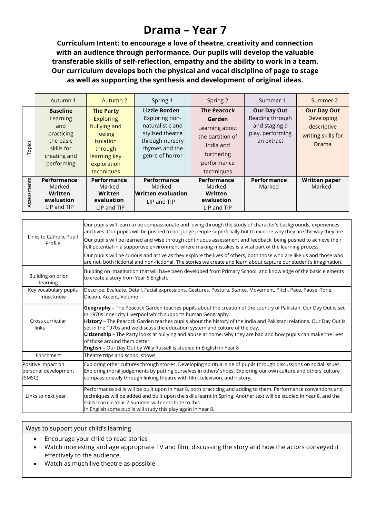## **Drama – Year 7**

**Curriculum Intent: to encourage a love of theatre, creativity and connection with an audience through performance. Our pupils will develop the valuable transferable skills of self-reflection, empathy and the ability to work in a team. Our curriculum develops both the physical and vocal discipline of page to stage as well as supporting the synthesis and development of original ideas.**

|             | Autumn 1                                                                                                  | Autumn 2                                                                                                                                    | Spring 1                                                                                                                        | Spring 2                                                                                                                   | Summer 1                                                                                 | Summer 2                                                                       |
|-------------|-----------------------------------------------------------------------------------------------------------|---------------------------------------------------------------------------------------------------------------------------------------------|---------------------------------------------------------------------------------------------------------------------------------|----------------------------------------------------------------------------------------------------------------------------|------------------------------------------------------------------------------------------|--------------------------------------------------------------------------------|
| Topics      | <b>Baseline</b><br>Learning<br>and<br>practicing<br>the basic<br>skills for<br>creating and<br>performing | <b>The Party</b><br><b>Exploring</b><br>bullying and<br>feeling<br><i>isolation</i><br>through<br>learning key<br>exploration<br>techniques | Lizzie Borden<br>Exploring non-<br>naturalistic and<br>stylised theatre<br>through nursery<br>rhymes and the<br>genre of horror | <b>The Peacock</b><br>Garden<br>Learning about<br>the partition of<br>India and<br>furthering<br>performance<br>techniques | <b>Our Day Out</b><br>Reading through<br>and staging a<br>play, performing<br>an extract | <b>Our Day Out</b><br>Developing<br>descriptive<br>writing skills for<br>Drama |
| Assessments | Performance<br>Marked<br>Written<br>evaluation<br>LIP and TIP                                             | Performance<br>Marked<br>Written<br>evaluation<br>LIP and TIP                                                                               | <b>Performance</b><br>Marked<br><b>Written evaluation</b><br>LIP and TIP                                                        | Performance<br>Marked<br>Written<br>evaluation<br>LIP and TIP                                                              | Performance<br>Marked                                                                    | <b>Written paper</b><br>Marked                                                 |

| Links to next year                                   | Performance skills will be built upon in Year 8, both practicing and adding to them. Performance conventions and<br>techniques will be added and built upon the skills learnt in Spring. Another text will be studied in Year 8, and the<br>skills learn in Year 7 Summer will contribute to this.<br>In English some pupils will study this play again in Year 8.                                                                                                                                                                                                                                                  |  |  |  |  |
|------------------------------------------------------|---------------------------------------------------------------------------------------------------------------------------------------------------------------------------------------------------------------------------------------------------------------------------------------------------------------------------------------------------------------------------------------------------------------------------------------------------------------------------------------------------------------------------------------------------------------------------------------------------------------------|--|--|--|--|
| Positive impact on<br>personal development<br>(SMSC) | Exploring other cultures through stories. Developing spiritual side of pupils through discussions on social issues.<br>Exploring moral judgements by putting ourselves in others' shoes. Exploring our own culture and others' culture<br>compassionately through linking theatre with film, television, and history.                                                                                                                                                                                                                                                                                               |  |  |  |  |
| Enrichment                                           | Theatre trips and school shows                                                                                                                                                                                                                                                                                                                                                                                                                                                                                                                                                                                      |  |  |  |  |
| Cross curricular<br>links                            | Geography - The Peacock Garden teaches pupils about the creation of the country of Pakistan. Our Day Out is set<br>in 1970s inner city Liverpool which supports human Geography.<br>History - The Peacock Garden teaches pupils about the history of the India and Pakistani relations. Our Day Out is<br>set in the 1970s and we discuss the education system and culture of the day.<br>Citizenship - The Party looks at bullying and abuse at home, why they are bad and how pupils can make the lives<br>of those around them better.<br>English - Our Day Out by Willy Russell is studied in English in Year 8 |  |  |  |  |
| Key vocabulary pupils<br>must know                   | Describe, Evaluate, Detail, Facial expressions, Gestures, Posture, Stance, Movement, Pitch, Pace, Pause, Tone,<br>Diction, Accent, Volume                                                                                                                                                                                                                                                                                                                                                                                                                                                                           |  |  |  |  |
| Building on prior<br>learning                        | Building on imagination that will have been developed from Primary School, and knowledge of the basic elements<br>to create a story from Year 6 English.                                                                                                                                                                                                                                                                                                                                                                                                                                                            |  |  |  |  |
|                                                      | Our pupils will be curious and active as they explore the lives of others, both those who are like us and those who<br>are not, both fictional and non-fictional. The stories we create and learn about capture our student's imagination.                                                                                                                                                                                                                                                                                                                                                                          |  |  |  |  |
| Links to Catholic Pupil<br>Profile                   | Our pupils will be learned and wise through continuous assessment and feedback, being pushed to achieve their<br>full potential in a supportive environment where making mistakes is a vital part of the learning process.                                                                                                                                                                                                                                                                                                                                                                                          |  |  |  |  |
|                                                      | Our pupils will learn to be compassionate and loving through the study of character's backgrounds, experiences<br>and lives. Our pupils will be pushed to not judge people superficially but to explore why they are the way they are.                                                                                                                                                                                                                                                                                                                                                                              |  |  |  |  |

- Encourage your child to read stories
- Watch interesting and age appropriate TV and film, discussing the story and how the actors conveyed it effectively to the audience.
- Watch as much live theatre as possible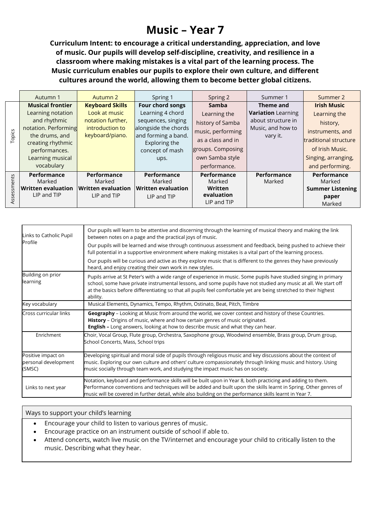## **Music – Year 7**

**Curriculum Intent: to encourage a critical understanding, appreciation, and love of music. Our pupils will develop self-discipline, creativity, and resilience in a classroom where making mistakes is a vital part of the learning process. The Music curriculum enables our pupils to explore their own culture, and different cultures around the world, allowing them to become better global citizens.**

|            | Autumn 1                  | Autumn 2                  | Spring 1                  | Spring 2          | Summer 1                  | Summer 2                      |
|------------|---------------------------|---------------------------|---------------------------|-------------------|---------------------------|-------------------------------|
|            | <b>Musical frontier</b>   | <b>Keyboard Skills</b>    | Four chord songs          | Samba             | Theme and                 | <b>Irish Music</b>            |
|            | Learning notation         | Look at music             | Learning 4 chord          | Learning the      | <b>Variation</b> Learning | Learning the                  |
|            | and rhythmic              | notation further,         | sequences, singing        | history of Samba  | about structure in        | history,                      |
|            | notation. Performing      | introduction to           | alongside the chords      | music, performing | Music, and how to         | instruments, and              |
| Topics     | the drums, and            | keyboard/piano.           | and forming a band.       |                   | vary it.                  |                               |
|            | creating rhythmic         |                           | Exploring the             | as a class and in |                           | <b>Itraditional structure</b> |
|            | performances.             |                           | concept of mash           | groups. Composing |                           | of Irish Music.               |
|            | Learning musical          |                           | ups.                      | own Samba style   |                           | Singing, arranging,           |
|            | vocabulary                |                           |                           | performance.      |                           | and performing.               |
|            | Performance               | <b>Performance</b>        | Performance               | Performance       | <b>Performance</b>        | Performance                   |
|            | Marked                    | Marked                    | Marked                    | Marked            | Marked                    | Marked                        |
|            | <b>Written evaluation</b> | <b>Written evaluation</b> | $\sf{Written}$ evaluation | Written           |                           | <b>Summer Listening</b>       |
| ssessments | LIP and TIP               | LIP and TIP               | LIP and TIP               | evaluation        |                           | paper                         |
|            |                           |                           |                           | LIP and TIP       |                           | Marked                        |

| Links to Catholic Pupil                              | Our pupils will learn to be attentive and discerning through the learning of musical theory and making the link<br>between notes on a page and the practical joys of music.                                                                                                                                                                                           |  |  |  |  |  |
|------------------------------------------------------|-----------------------------------------------------------------------------------------------------------------------------------------------------------------------------------------------------------------------------------------------------------------------------------------------------------------------------------------------------------------------|--|--|--|--|--|
| Profile                                              | Our pupils will be learned and wise through continuous assessment and feedback, being pushed to achieve their<br>full potential in a supportive environment where making mistakes is a vital part of the learning process.                                                                                                                                            |  |  |  |  |  |
|                                                      | Our pupils will be curious and active as they explore music that is different to the genres they have previously<br>heard, and enjoy creating their own work in new styles.                                                                                                                                                                                           |  |  |  |  |  |
| Building on prior<br>learning                        | Pupils arrive at St Peter's with a wide range of experience in music. Some pupils have studied singing in primary<br>school, some have private instrumental lessons, and some pupils have not studied any music at all. We start off<br>at the basics before differentiating so that all pupils feel comfortable yet are being stretched to their highest<br>ability. |  |  |  |  |  |
| Key vocabulary                                       | Musical Elements, Dynamics, Tempo, Rhythm, Ostinato, Beat, Pitch, Timbre                                                                                                                                                                                                                                                                                              |  |  |  |  |  |
| Cross curricular links                               | Geography - Looking at Music from around the world, we cover context and history of these Countries.<br>History - Origins of music, where and how certain genres of music originated.<br>English - Long answers, looking at how to describe music and what they can hear.                                                                                             |  |  |  |  |  |
| Enrichment                                           | Choir, Vocal Group, Flute group, Orchestra, Saxophone group, Woodwind ensemble, Brass group, Drum group,<br>School Concerts, Mass, School trips                                                                                                                                                                                                                       |  |  |  |  |  |
| Positive impact on<br>personal development<br>(SMSC) | Developing spiritual and moral side of pupils through religious music and key discussions about the context of<br>music. Exploring our own culture and others' culture compassionately through linking music and history. Using<br>music socially through team work, and studying the impact music has on society.                                                    |  |  |  |  |  |
| Links to next year                                   | Notation, keyboard and performance skills will be built upon in Year 8, both practicing and adding to them.<br>Performance conventions and techniques will be added and built upon the skills learnt in Spring. Other genres of<br>music will be covered in further detail, while also building on the performance skills learnt in Year 7.                           |  |  |  |  |  |

- Encourage your child to listen to various genres of music.
- Encourage practice on an instrument outside of school if able to.
- Attend concerts, watch live music on the TV/internet and encourage your child to critically listen to the music. Describing what they hear.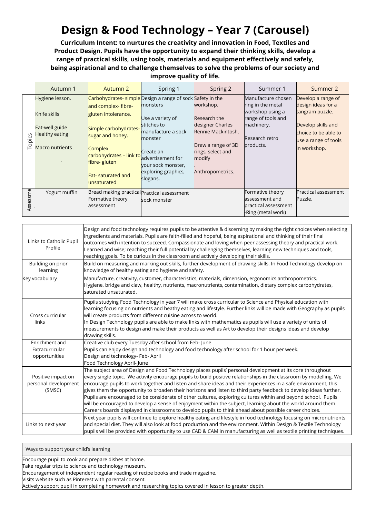## **Design & Food Technology – Year 7 (Carousel)**

**Curriculum Intent: to nurtures the creativity and innovation in Food, Textiles and Product Design. Pupils have the opportunity to expand their thinking skills, develop a range of practical skills, using tools, materials and equipment effectively and safely, being aspirational and to challenge themselves to solve the problems of our society and improve quality of life.**

|          | Autumn 1                                                                                      | Autumn 2                                                                                                                                                                                                                                                | Spring 1                                                                                                                                                                | Spring 2                                                                                                                                     | Summer 1                                                                                                                       | Summer 2                                                                                                                                          |
|----------|-----------------------------------------------------------------------------------------------|---------------------------------------------------------------------------------------------------------------------------------------------------------------------------------------------------------------------------------------------------------|-------------------------------------------------------------------------------------------------------------------------------------------------------------------------|----------------------------------------------------------------------------------------------------------------------------------------------|--------------------------------------------------------------------------------------------------------------------------------|---------------------------------------------------------------------------------------------------------------------------------------------------|
| Topics   | Hygiene lesson.<br>Knife skills<br>Eat-well guide<br>Healthy eating<br><b>Macro nutrients</b> | Carbohydrates- simple Design a range of sock Safety in the<br>and complex-fibre-<br>gluten intolerance.<br>Simple carbohydrates-<br>sugar and honey.<br>Complex<br>carbohydrates - link to<br>fibre- gluten<br><b>Fat-</b> saturated and<br>unsaturated | monsters<br>Use a variety of<br>stitches to<br>manufacture a sock<br>monster<br>Create an<br>advertisement for<br>vour sock monster,<br>exploring graphics,<br>slogans. | workshop.<br>Research the<br>designer Charles<br>Rennie Mackintosh.<br>Draw a range of 3D<br>rings, select and<br>modify<br>Anthropometrics. | Manufacture chosen<br>ring in the metal<br>workshop using a<br>range of tools and<br>machinery.<br>Research retro<br>products. | Develop a range of<br>design ideas for a<br>tangram puzzle.<br>Develop skills and<br>choice to be able to<br>use a range of tools<br>in workshop. |
| Assessme | Yogurt muffin                                                                                 | Bread making practical Practical assessment<br>Formative theory<br>assessment                                                                                                                                                                           | sock monster                                                                                                                                                            |                                                                                                                                              | Formative theory<br>assessment and<br>practical assessment<br>-Ring (metal work)                                               | Practical assessment<br>Puzzle.                                                                                                                   |

| Links to Catholic Pupil<br>Profile                   | Design and food technology requires pupils to be attentive & discerning by making the right choices when selecting<br>ingredients and materials. Pupils are faith-filled and hopeful, being aspirational and thinking of their final<br>outcomes with intention to succeed. Compassionate and loving when peer assessing theory and practical work.<br>Learned and wise; reaching their full potential by challenging themselves, learning new techniques and tools,<br>reaching goals. To be curious in the classroom and actively developing their skills.                                                                                                                                                                                                                                                       |
|------------------------------------------------------|--------------------------------------------------------------------------------------------------------------------------------------------------------------------------------------------------------------------------------------------------------------------------------------------------------------------------------------------------------------------------------------------------------------------------------------------------------------------------------------------------------------------------------------------------------------------------------------------------------------------------------------------------------------------------------------------------------------------------------------------------------------------------------------------------------------------|
| Building on prior<br>learning                        | Build on measuring and marking out skills, further development of drawing skills. In Food Technology develop on<br>knowledge of healthy eating and hygiene and safety.                                                                                                                                                                                                                                                                                                                                                                                                                                                                                                                                                                                                                                             |
| Key vocabulary                                       | Manufacture, creativity, customer, characteristics, materials, dimension, ergonomics anthropometrics.<br>Hygiene, bridge and claw, healthy, nutrients, macronutrients, contamination, dietary complex carbohydrates,<br>saturated unsaturated.                                                                                                                                                                                                                                                                                                                                                                                                                                                                                                                                                                     |
| Cross curricular<br>links                            | Pupils studying Food Technology in year 7 will make cross curricular to Science and Physical education with<br>earning focusing on nutrients and heathy eating and lifestyle. Further links will be made with Geography as pupils<br>will create products from different cuisine across to world.<br>In Design Technology pupils are able to make links with mathematics as pupils will use a variety of units of<br>measurements to design and make their products as well as Art to develop their designs ideas and develop<br>drawing skills.                                                                                                                                                                                                                                                                   |
| Enrichment and<br>Extracurricular<br>opportunities   | Creative club every Tuesday after school from Feb-June<br>Pupils can enjoy design and technology and food technology after school for 1 hour per week.<br>Design and technology- Feb- April<br>Food Technology April-June                                                                                                                                                                                                                                                                                                                                                                                                                                                                                                                                                                                          |
| Positive impact on<br>personal development<br>(SMSC) | The subject area of Design and Food Technology places pupils' personal development at its core throughout<br>every single topic. We activity encourage pupils to build positive relationships in the classroom by modelling. We<br>encourage pupils to work together and listen and share ideas and their experiences in a safe environment, this<br>gives them the opportunity to broaden their horizons and listen to third party feedback to develop ideas further.<br>Pupils are encouraged to be considerate of other cultures, exploring cultures within and beyond school. Pupils<br>will be encouraged to develop a sense of enjoyment within the subject, learning about the world around them.<br>Careers boards displayed in classrooms to develop pupils to think ahead about possible career choices. |
| Links to next year                                   | Next year pupils will continue to explore healthy eating and lifestyle in food technology focusing on micronutrients<br>and special diet. They will also look at food production and the environment. Within Design & Textile Technology<br>pupils will be provided with opportunity to use CAD & CAM in manufacturing as well as textile printing techniques.                                                                                                                                                                                                                                                                                                                                                                                                                                                     |

Ways to support your child's learning

Encourage pupil to cook and prepare dishes at home.

Take regular trips to science and technology museum.

Encouragement of independent regular reading of recipe books and trade magazine.

Visits website such as Pinterest with parental consent.

Actively support pupil in completing homework and researching topics covered in lesson to greater depth.